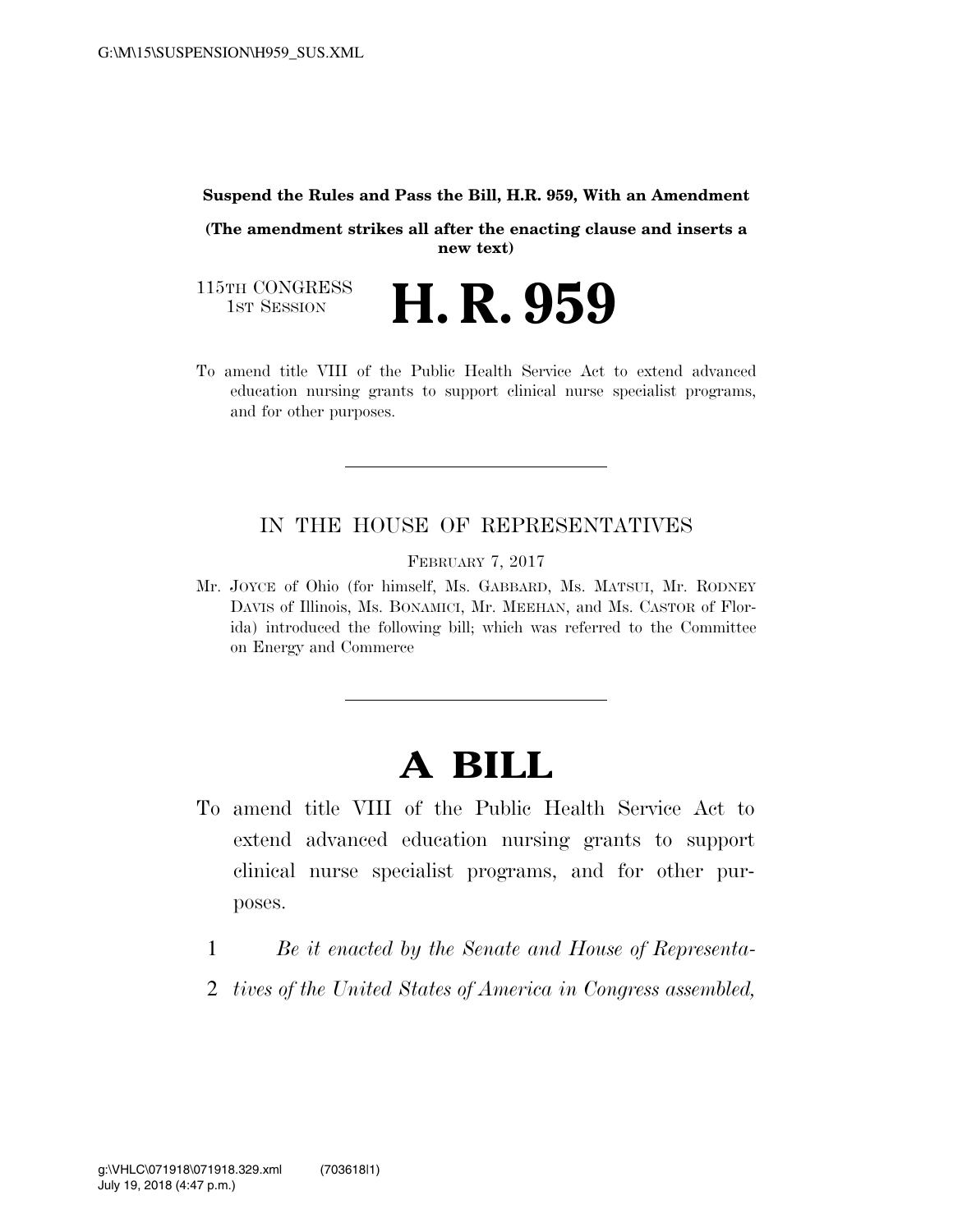#### **Suspend the Rules and Pass the Bill, H.R. 959, With an Amendment**

**(The amendment strikes all after the enacting clause and inserts a new text)** 

H. R. 959

115TH CONGRESS<br>1st Session

To amend title VIII of the Public Health Service Act to extend advanced education nursing grants to support clinical nurse specialist programs, and for other purposes.

## IN THE HOUSE OF REPRESENTATIVES

FEBRUARY 7, 2017

Mr. JOYCE of Ohio (for himself, Ms. GABBARD, Ms. MATSUI, Mr. RODNEY DAVIS of Illinois, Ms. BONAMICI, Mr. MEEHAN, and Ms. CASTOR of Florida) introduced the following bill; which was referred to the Committee on Energy and Commerce

# **A BILL**

- To amend title VIII of the Public Health Service Act to extend advanced education nursing grants to support clinical nurse specialist programs, and for other purposes.
	- 1 *Be it enacted by the Senate and House of Representa-*
	- 2 *tives of the United States of America in Congress assembled,*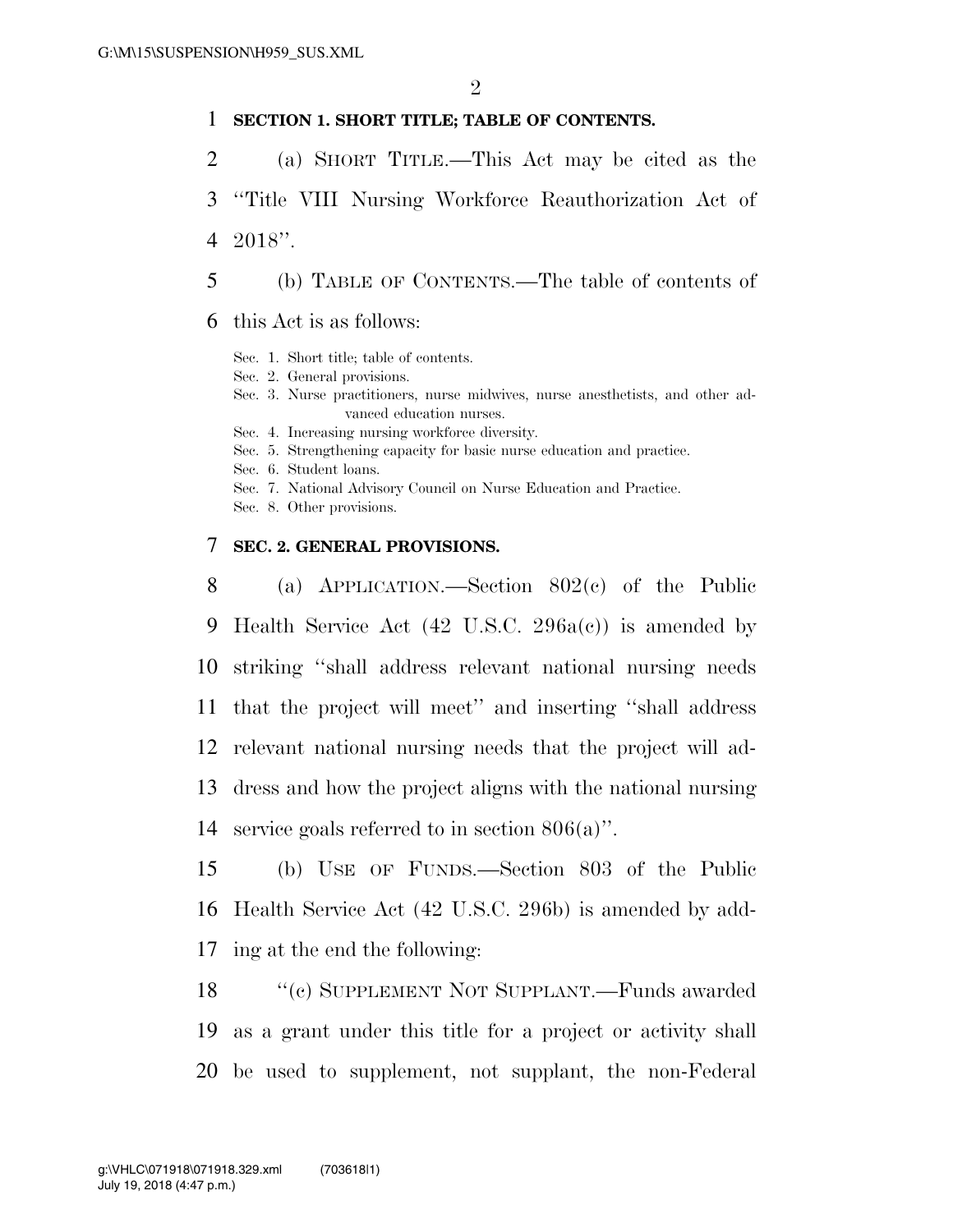### **SECTION 1. SHORT TITLE; TABLE OF CONTENTS.**

- (a) SHORT TITLE.—This Act may be cited as the
- ''Title VIII Nursing Workforce Reauthorization Act of 2018''.
- (b) TABLE OF CONTENTS.—The table of contents of
- this Act is as follows:
	- Sec. 1. Short title; table of contents.
	- Sec. 2. General provisions.
	- Sec. 3. Nurse practitioners, nurse midwives, nurse anesthetists, and other advanced education nurses.
	- Sec. 4. Increasing nursing workforce diversity.
	- Sec. 5. Strengthening capacity for basic nurse education and practice.
	- Sec. 6. Student loans.
	- Sec. 7. National Advisory Council on Nurse Education and Practice.
	- Sec. 8. Other provisions.

#### **SEC. 2. GENERAL PROVISIONS.**

 (a) APPLICATION.—Section 802(c) of the Public Health Service Act (42 U.S.C. 296a(c)) is amended by striking ''shall address relevant national nursing needs that the project will meet'' and inserting ''shall address relevant national nursing needs that the project will ad- dress and how the project aligns with the national nursing service goals referred to in section 806(a)''.

- (b) USE OF FUNDS.—Section 803 of the Public Health Service Act (42 U.S.C. 296b) is amended by add-ing at the end the following:
- ''(c) SUPPLEMENT NOT SUPPLANT.—Funds awarded as a grant under this title for a project or activity shall be used to supplement, not supplant, the non-Federal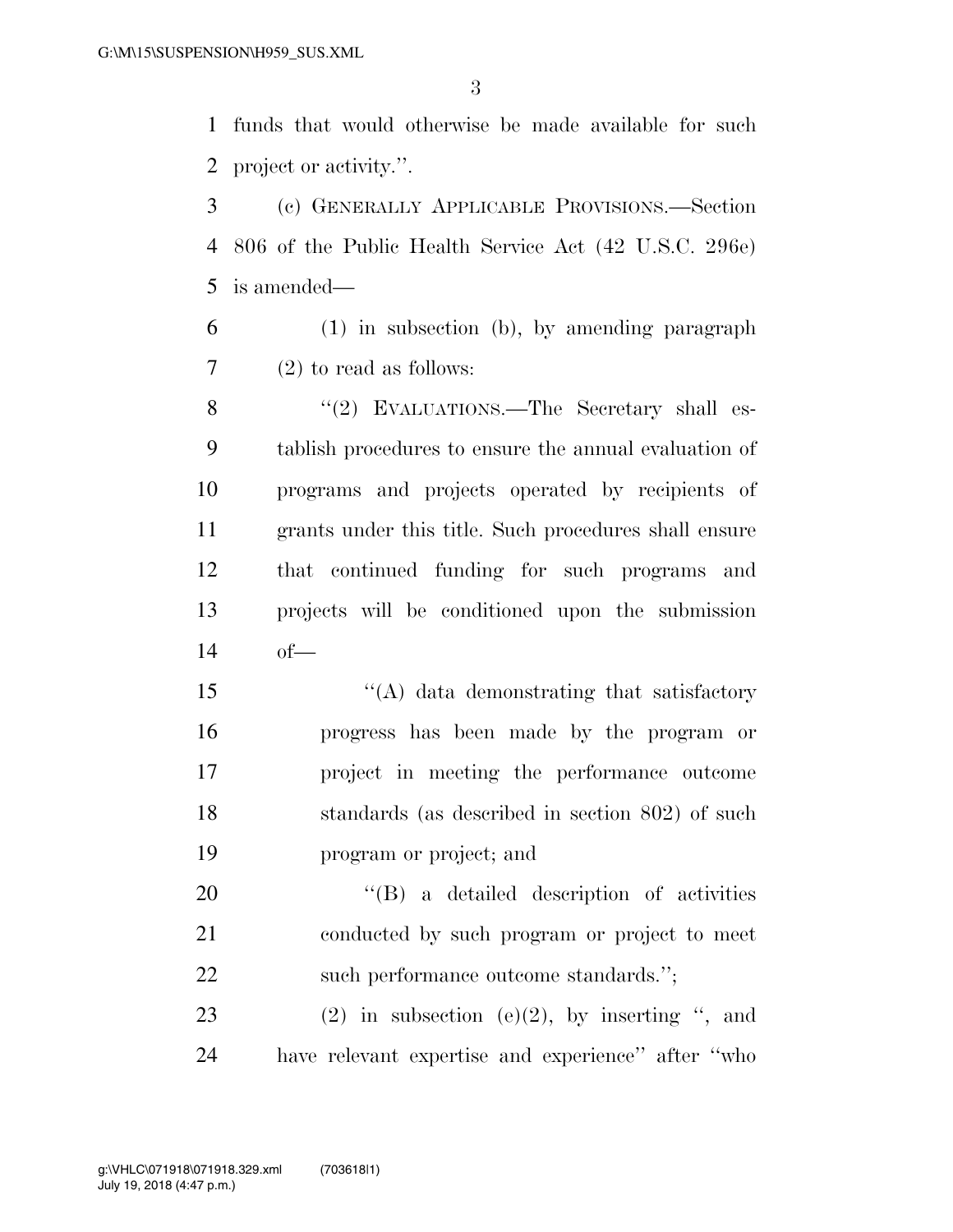funds that would otherwise be made available for such project or activity.''.

 (c) GENERALLY APPLICABLE PROVISIONS.—Section 806 of the Public Health Service Act (42 U.S.C. 296e) is amended—

- (1) in subsection (b), by amending paragraph (2) to read as follows:
- 8 "(2) EVALUATIONS.—The Secretary shall es- tablish procedures to ensure the annual evaluation of programs and projects operated by recipients of grants under this title. Such procedures shall ensure that continued funding for such programs and projects will be conditioned upon the submission of—
- 15 "(A) data demonstrating that satisfactory progress has been made by the program or project in meeting the performance outcome 18 standards (as described in section 802) of such program or project; and

20  $\langle$  (B) a detailed description of activities conducted by such program or project to meet 22 such performance outcome standards.";

23 (2) in subsection  $(e)(2)$ , by inserting ", and have relevant expertise and experience'' after ''who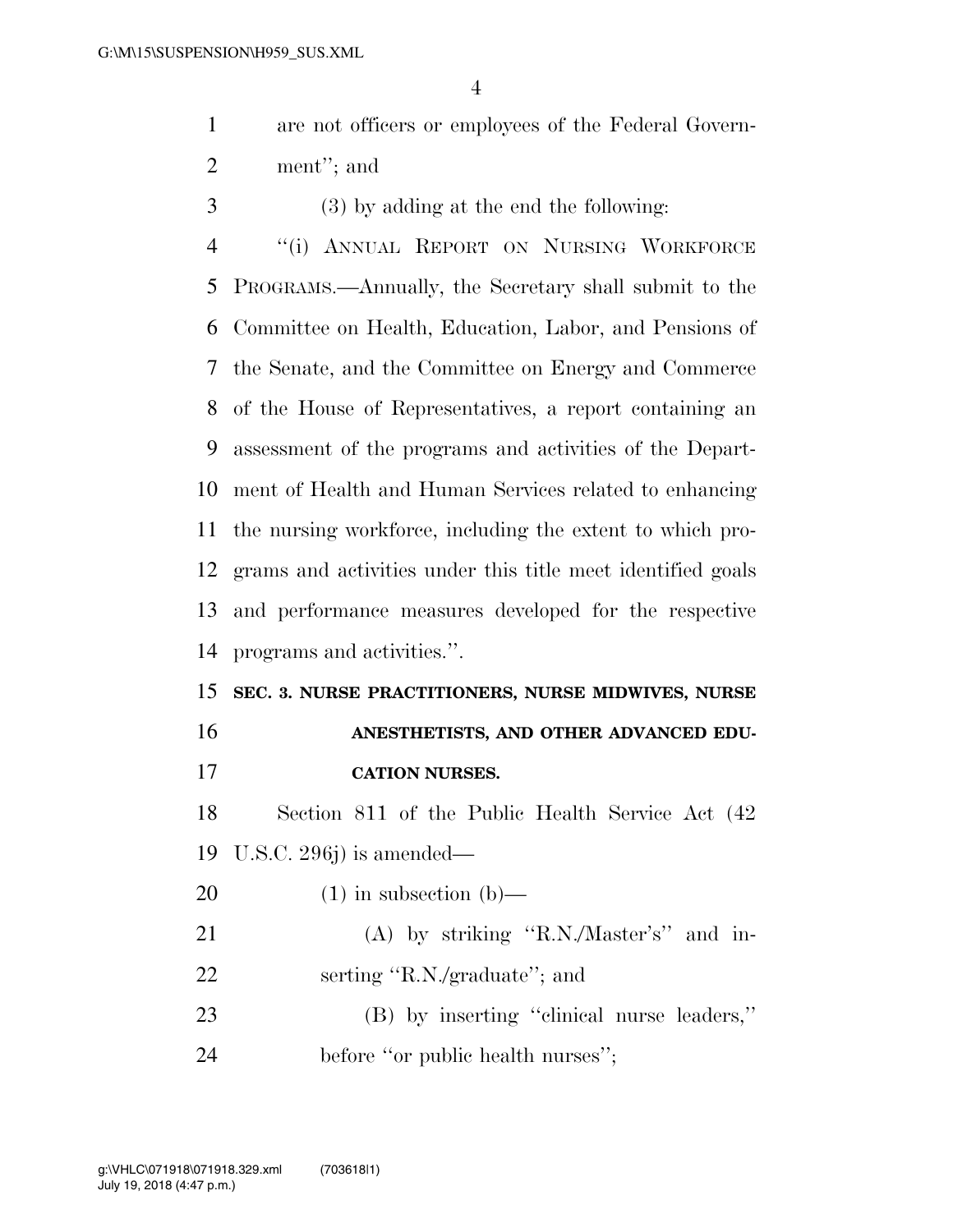are not officers or employees of the Federal Govern-ment''; and

(3) by adding at the end the following:

 ''(i) ANNUAL REPORT ON NURSING WORKFORCE PROGRAMS.—Annually, the Secretary shall submit to the Committee on Health, Education, Labor, and Pensions of the Senate, and the Committee on Energy and Commerce of the House of Representatives, a report containing an assessment of the programs and activities of the Depart- ment of Health and Human Services related to enhancing the nursing workforce, including the extent to which pro- grams and activities under this title meet identified goals and performance measures developed for the respective programs and activities.''.

# **SEC. 3. NURSE PRACTITIONERS, NURSE MIDWIVES, NURSE ANESTHETISTS, AND OTHER ADVANCED EDU-**

**CATION NURSES.** 

 Section 811 of the Public Health Service Act (42 U.S.C. 296j) is amended—

- 20  $(1)$  in subsection  $(b)$ —
- 21 (A) by striking "R.N./Master's" and in-serting ''R.N./graduate''; and

 (B) by inserting ''clinical nurse leaders,'' 24 before "or public health nurses";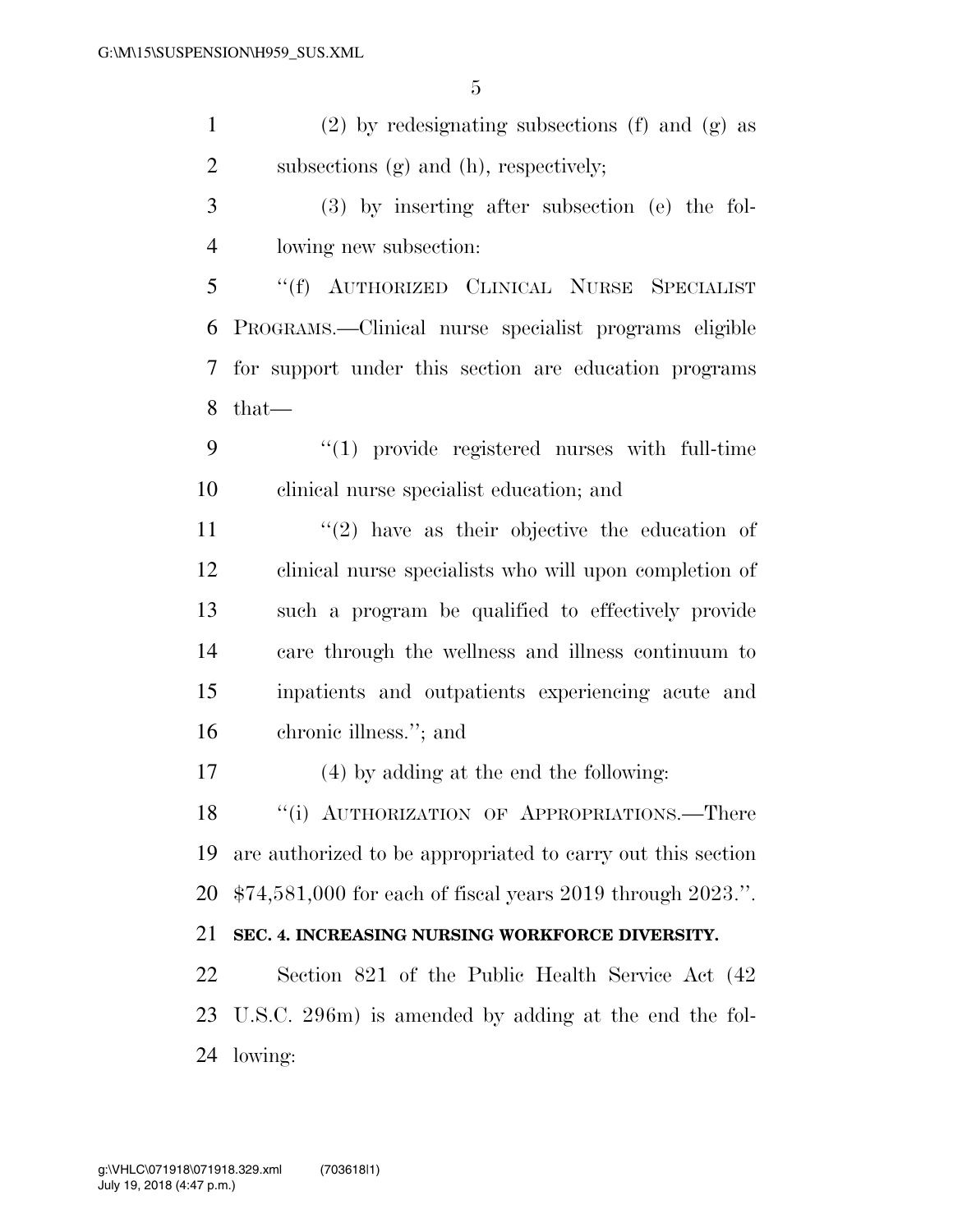(2) by redesignating subsections (f) and (g) as subsections (g) and (h), respectively; (3) by inserting after subsection (e) the fol- lowing new subsection: ''(f) AUTHORIZED CLINICAL NURSE SPECIALIST PROGRAMS.—Clinical nurse specialist programs eligible for support under this section are education programs that—  $\frac{4}{1}$  provide registered nurses with full-time clinical nurse specialist education; and  $(2)$  have as their objective the education of clinical nurse specialists who will upon completion of such a program be qualified to effectively provide care through the wellness and illness continuum to inpatients and outpatients experiencing acute and chronic illness.''; and (4) by adding at the end the following: 18 "(i) AUTHORIZATION OF APPROPRIATIONS.—There are authorized to be appropriated to carry out this section \$74,581,000 for each of fiscal years 2019 through 2023.''. **SEC. 4. INCREASING NURSING WORKFORCE DIVERSITY.**  Section 821 of the Public Health Service Act (42 U.S.C. 296m) is amended by adding at the end the fol-lowing: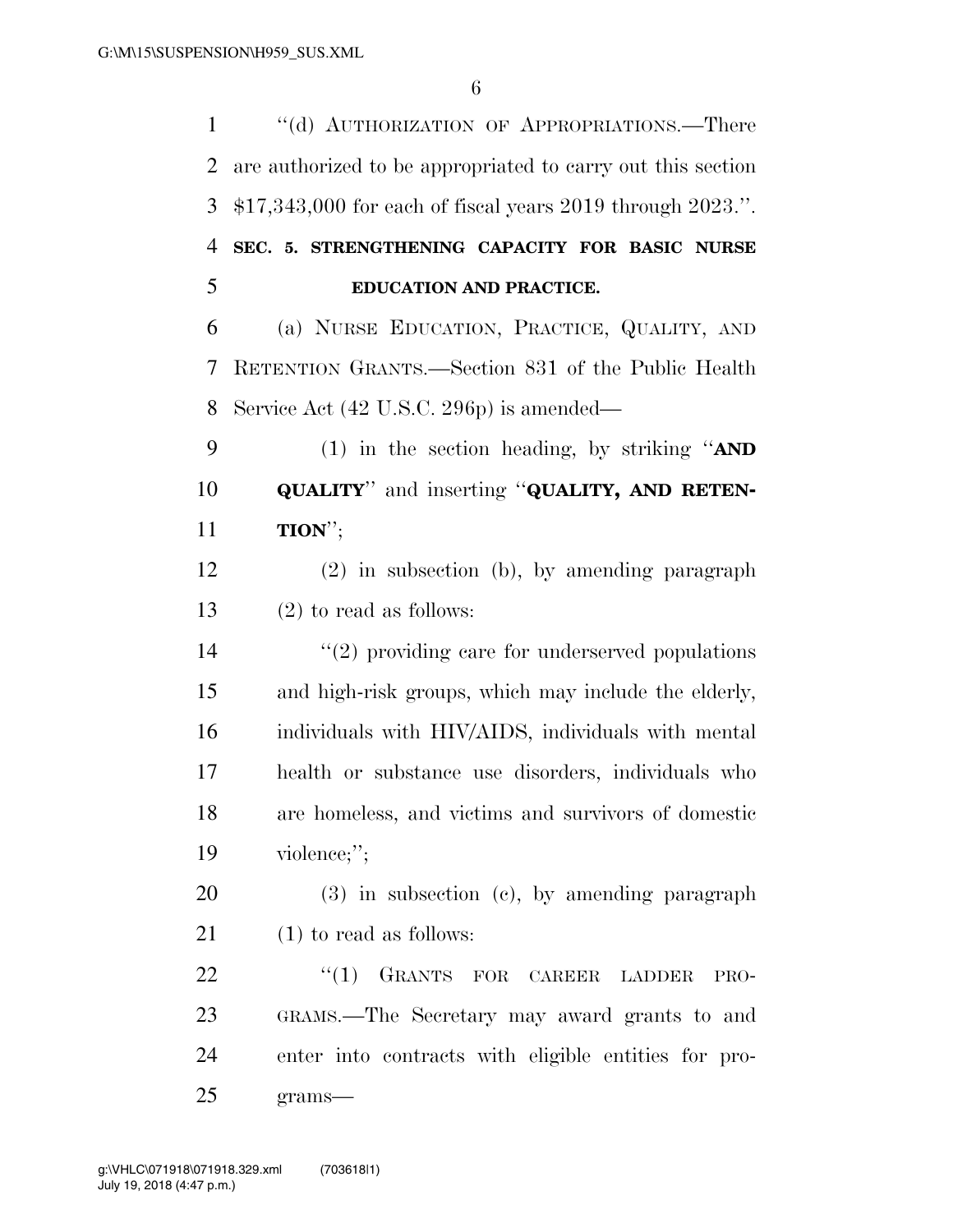| $\mathbf{1}$   | "(d) AUTHORIZATION OF APPROPRIATIONS.—There                 |
|----------------|-------------------------------------------------------------|
| 2              | are authorized to be appropriated to carry out this section |
| 3              | $$17,343,000$ for each of fiscal years 2019 through 2023.". |
| $\overline{4}$ | SEC. 5. STRENGTHENING CAPACITY FOR BASIC NURSE              |
| 5              | EDUCATION AND PRACTICE.                                     |
| 6              | (a) NURSE EDUCATION, PRACTICE, QUALITY, AND                 |
| 7              | RETENTION GRANTS.—Section 831 of the Public Health          |
| 8              | Service Act (42 U.S.C. 296p) is amended—                    |
| 9              | (1) in the section heading, by striking " $AND$             |
| 10             | <b>QUALITY"</b> and inserting "QUALITY, AND RETEN-          |
| 11             | $TION$ <sup>"</sup> ;                                       |
| 12             | (2) in subsection (b), by amending paragraph                |
| 13             | $(2)$ to read as follows:                                   |
| 14             | $\lq(2)$ providing care for underserved populations         |
| 15             | and high-risk groups, which may include the elderly,        |
| 16             | individuals with HIV/AIDS, individuals with mental          |
| 17             | health or substance use disorders, individuals who          |
| 18             | are homeless, and victims and survivors of domestic         |
| 19             | violence;";                                                 |
| 20             | $(3)$ in subsection $(e)$ , by amending paragraph           |
| 21             | $(1)$ to read as follows:                                   |
| 22             | "(1) GRANTS FOR CAREER LADDER<br>PRO-                       |
| 23             | GRAMS.—The Secretary may award grants to and                |
| 24             | enter into contracts with eligible entities for pro-        |
| 25             | $grams-$                                                    |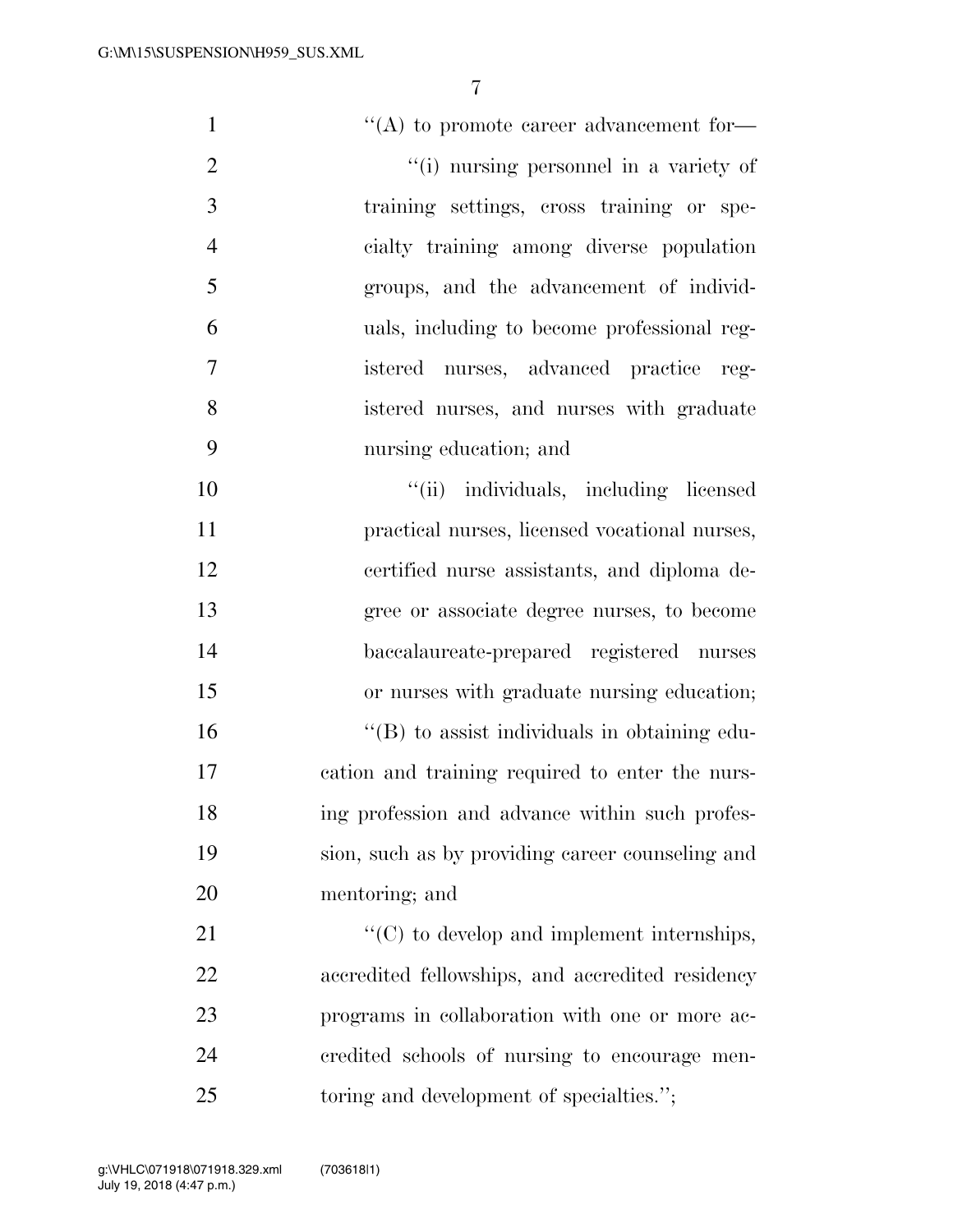| $\mathbf{1}$   | $\lq\lq$ to promote career advancement for-        |
|----------------|----------------------------------------------------|
| $\overline{2}$ | "(i) nursing personnel in a variety of             |
| 3              | training settings, cross training or spe-          |
| $\overline{4}$ | cialty training among diverse population           |
| 5              | groups, and the advancement of individ-            |
| 6              | uals, including to become professional reg-        |
| $\overline{7}$ | istered nurses, advanced practice<br>reg-          |
| 8              | istered nurses, and nurses with graduate           |
| 9              | nursing education; and                             |
| 10             | "(ii) individuals, including licensed              |
| 11             | practical nurses, licensed vocational nurses,      |
| 12             | certified nurse assistants, and diploma de-        |
| 13             | gree or associate degree nurses, to become         |
| 14             | baccalaureate-prepared registered nurses           |
| 15             | or nurses with graduate nursing education;         |
| 16             | $\lq\lq$ to assist individuals in obtaining edu-   |
| 17             | cation and training required to enter the nurs-    |
| 18             | ing profession and advance within such profes-     |
| 19             | sion, such as by providing career counseling and   |
| 20             | mentoring; and                                     |
| 21             | $\lq\lq$ (C) to develop and implement internships, |
| 22             | accredited fellowships, and accredited residency   |
| 23             | programs in collaboration with one or more ac-     |
| 24             | credited schools of nursing to encourage men-      |
| 25             | toring and development of specialties.";           |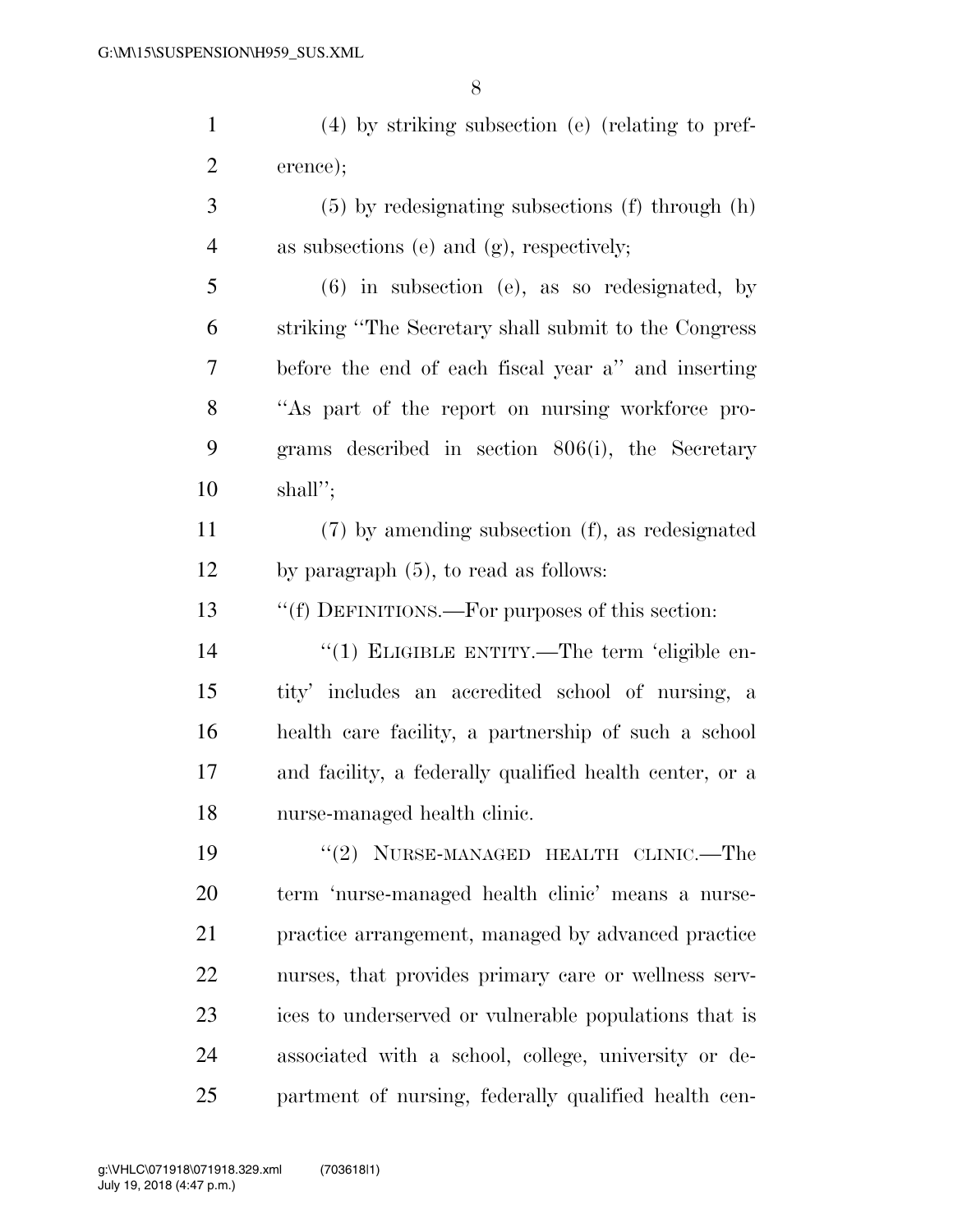(4) by striking subsection (e) (relating to pref- erence); (5) by redesignating subsections (f) through (h) as subsections (e) and (g), respectively; (6) in subsection (e), as so redesignated, by striking ''The Secretary shall submit to the Congress

 before the end of each fiscal year a'' and inserting ''As part of the report on nursing workforce pro- grams described in section 806(i), the Secretary shall'';

 (7) by amending subsection (f), as redesignated by paragraph (5), to read as follows:

''(f) DEFINITIONS.—For purposes of this section:

 $\frac{1}{2}$  (1) ELIGIBLE ENTITY.—The term 'eligible en- tity' includes an accredited school of nursing, a health care facility, a partnership of such a school and facility, a federally qualified health center, or a nurse-managed health clinic.

19 "(2) NURSE-MANAGED HEALTH CLINIC.—The term 'nurse-managed health clinic' means a nurse- practice arrangement, managed by advanced practice nurses, that provides primary care or wellness serv- ices to underserved or vulnerable populations that is associated with a school, college, university or de-partment of nursing, federally qualified health cen-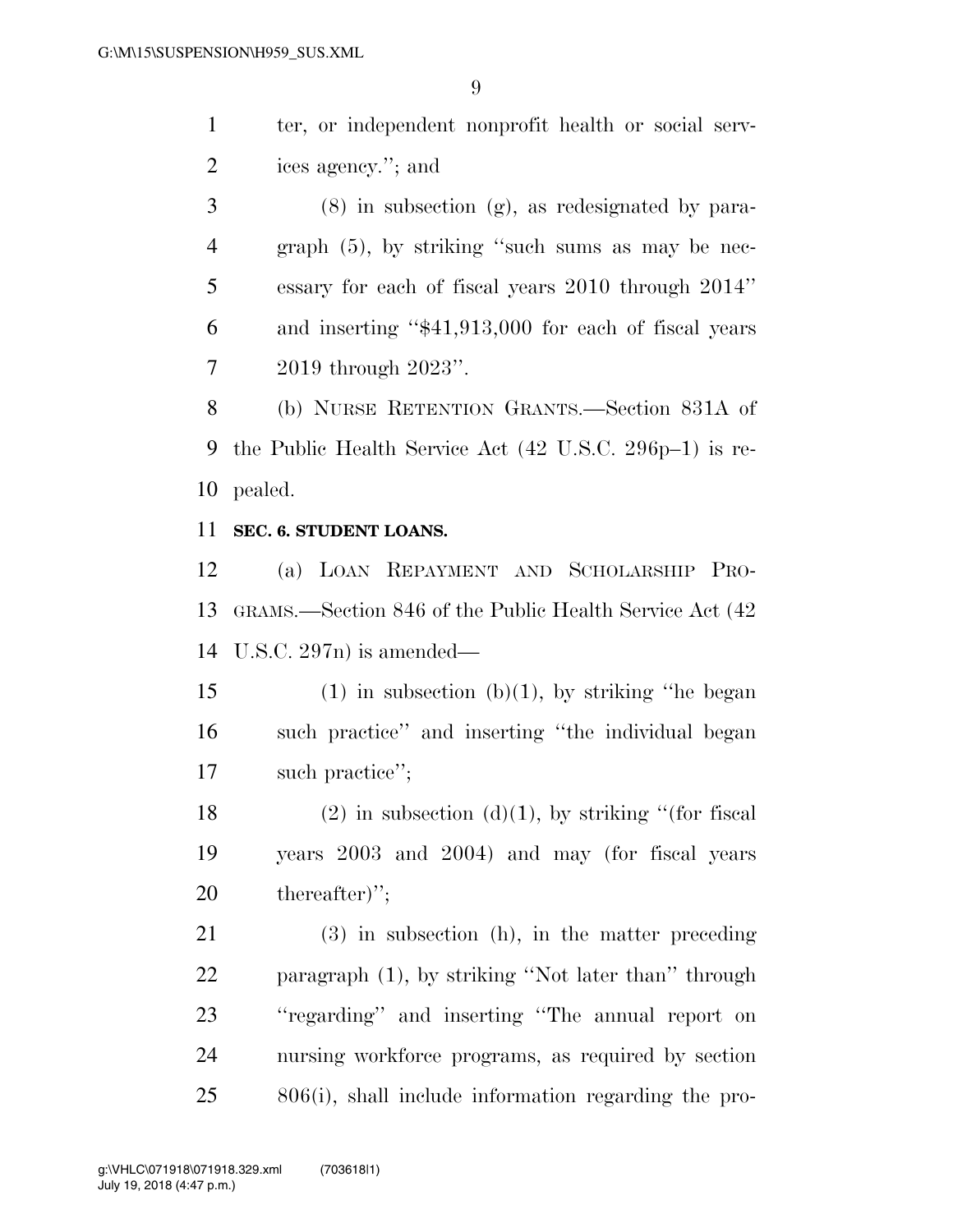ter, or independent nonprofit health or social serv-ices agency.''; and

 (8) in subsection (g), as redesignated by para- graph (5), by striking ''such sums as may be nec- essary for each of fiscal years 2010 through 2014'' and inserting ''\$41,913,000 for each of fiscal years 2019 through 2023''.

 (b) NURSE RETENTION GRANTS.—Section 831A of the Public Health Service Act (42 U.S.C. 296p–1) is re-pealed.

### **SEC. 6. STUDENT LOANS.**

 (a) LOAN REPAYMENT AND SCHOLARSHIP PRO- GRAMS.—Section 846 of the Public Health Service Act (42 U.S.C. 297n) is amended—

15 (1) in subsection  $(b)(1)$ , by striking "he began such practice'' and inserting ''the individual began such practice'';

18 (2) in subsection (d)(1), by striking "(for fiscal years 2003 and 2004) and may (for fiscal years thereafter)'';

 (3) in subsection (h), in the matter preceding paragraph (1), by striking ''Not later than'' through ''regarding'' and inserting ''The annual report on nursing workforce programs, as required by section 806(i), shall include information regarding the pro-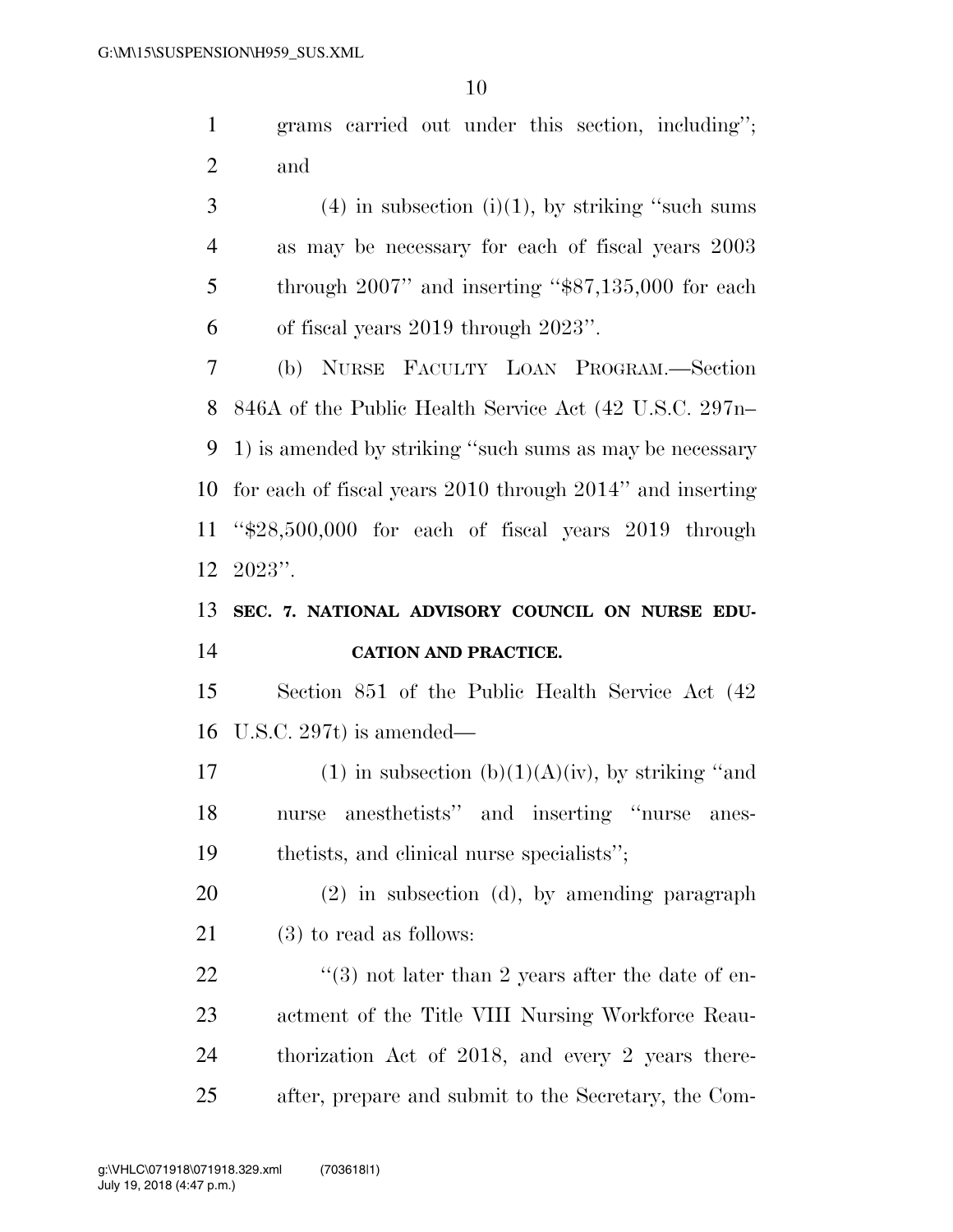grams carried out under this section, including''; and

 $3 \t(4)$  in subsection (i)(1), by striking "such sums as may be necessary for each of fiscal years 2003 5 through 2007" and inserting "\$87,135,000 for each of fiscal years 2019 through 2023''.

 (b) NURSE FACULTY LOAN PROGRAM.—Section 846A of the Public Health Service Act (42 U.S.C. 297n– 1) is amended by striking ''such sums as may be necessary for each of fiscal years 2010 through 2014'' and inserting ''\$28,500,000 for each of fiscal years 2019 through 2023''.

# **SEC. 7. NATIONAL ADVISORY COUNCIL ON NURSE EDU-CATION AND PRACTICE.**

 Section 851 of the Public Health Service Act (42 U.S.C. 297t) is amended—

17 (1) in subsection  $(b)(1)(A)(iv)$ , by striking "and nurse anesthetists'' and inserting ''nurse anes-thetists, and clinical nurse specialists'';

 (2) in subsection (d), by amending paragraph (3) to read as follows:

 $\frac{4}{3}$  not later than 2 years after the date of en- actment of the Title VIII Nursing Workforce Reau- thorization Act of 2018, and every 2 years there-after, prepare and submit to the Secretary, the Com-